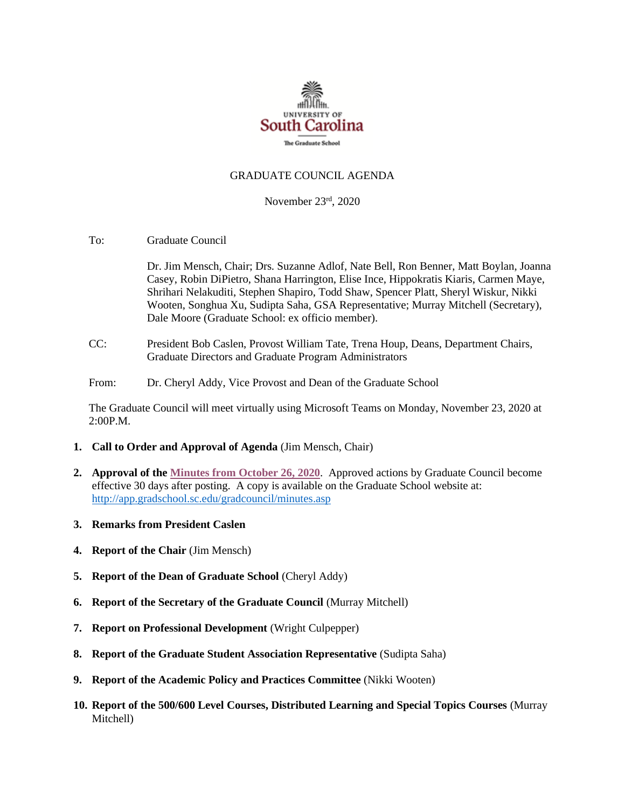

## GRADUATE COUNCIL AGENDA

November 23rd, 2020

To: Graduate Council

Dr. Jim Mensch, Chair; Drs. Suzanne Adlof, Nate Bell, Ron Benner, Matt Boylan, Joanna Casey, Robin DiPietro, Shana Harrington, Elise Ince, Hippokratis Kiaris, Carmen Maye, Shrihari Nelakuditi, Stephen Shapiro, Todd Shaw, Spencer Platt, Sheryl Wiskur, Nikki Wooten, Songhua Xu, Sudipta Saha, GSA Representative; Murray Mitchell (Secretary), Dale Moore (Graduate School: ex officio member).

- CC: President Bob Caslen, Provost William Tate, Trena Houp, Deans, Department Chairs, Graduate Directors and Graduate Program Administrators
- From: Dr. Cheryl Addy, Vice Provost and Dean of the Graduate School

The Graduate Council will meet virtually using Microsoft Teams on Monday, November 23, 2020 at 2:00P.M.

- **1. Call to Order and Approval of Agenda** (Jim Mensch, Chair)
- **2. Approval of th[e Minutes from October 26, 2020](GCMINUTES10.26.20.pdf)**. Approved actions by Graduate Council become effective 30 days after posting. A copy is available on the Graduate School website at: <http://app.gradschool.sc.edu/gradcouncil/minutes.asp>
- **3. Remarks from President Caslen**
- **4. Report of the Chair** (Jim Mensch)
- **5. Report of the Dean of Graduate School** (Cheryl Addy)
- **6. Report of the Secretary of the Graduate Council** (Murray Mitchell)
- **7. Report on Professional Development** (Wright Culpepper)
- **8. Report of the Graduate Student Association Representative** (Sudipta Saha)
- **9. Report of the Academic Policy and Practices Committee** (Nikki Wooten)
- **10. Report of the 500/600 Level Courses, Distributed Learning and Special Topics Courses** (Murray Mitchell)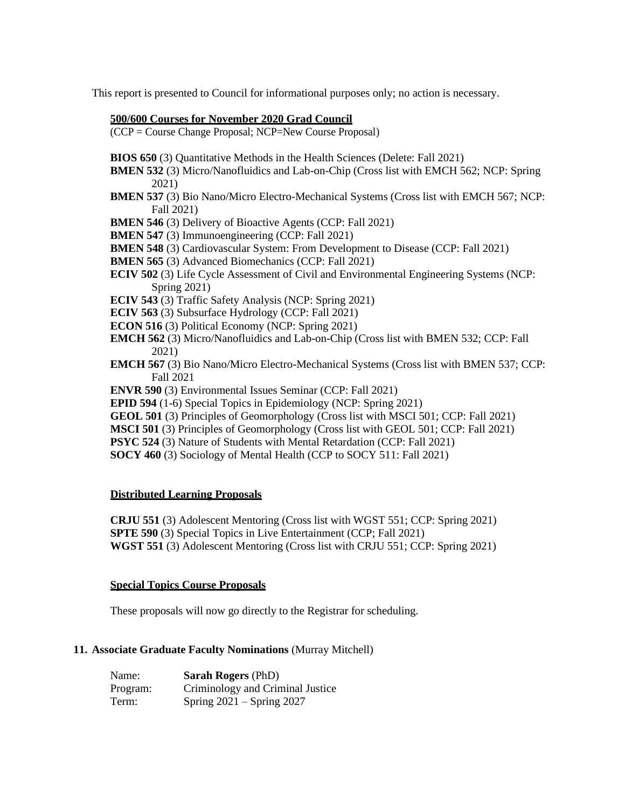This report is presented to Council for informational purposes only; no action is necessary.

### **500/600 Courses for November 2020 Grad Council**

(CCP = Course Change Proposal; NCP=New Course Proposal)

- **BIOS 650** (3) Quantitative Methods in the Health Sciences (Delete: Fall 2021)
- **BMEN 532** (3) Micro/Nanofluidics and Lab-on-Chip (Cross list with EMCH 562; NCP: Spring 2021)
- **BMEN 537** (3) Bio Nano/Micro Electro-Mechanical Systems (Cross list with EMCH 567; NCP: Fall 2021)
- **BMEN 546** (3) Delivery of Bioactive Agents (CCP: Fall 2021)
- **BMEN 547** (3) Immunoengineering (CCP: Fall 2021)
- **BMEN 548** (3) Cardiovascular System: From Development to Disease (CCP: Fall 2021)
- **BMEN 565** (3) Advanced Biomechanics (CCP: Fall 2021)
- **ECIV 502** (3) Life Cycle Assessment of Civil and Environmental Engineering Systems (NCP: Spring 2021)
- **ECIV 543** (3) Traffic Safety Analysis (NCP: Spring 2021)
- **ECIV 563** (3) Subsurface Hydrology (CCP: Fall 2021)
- **ECON 516** (3) Political Economy (NCP: Spring 2021)
- **EMCH 562** (3) Micro/Nanofluidics and Lab-on-Chip (Cross list with BMEN 532; CCP: Fall 2021)
- **EMCH 567** (3) Bio Nano/Micro Electro-Mechanical Systems (Cross list with BMEN 537; CCP: Fall 2021
- **ENVR 590** (3) Environmental Issues Seminar (CCP: Fall 2021)
- **EPID 594** (1-6) Special Topics in Epidemiology (NCP: Spring 2021)
- **GEOL 501** (3) Principles of Geomorphology (Cross list with MSCI 501; CCP: Fall 2021)
- **MSCI 501** (3) Principles of Geomorphology (Cross list with GEOL 501; CCP: Fall 2021)
- **PSYC 524** (3) Nature of Students with Mental Retardation (CCP: Fall 2021)
- **SOCY 460** (3) Sociology of Mental Health (CCP to SOCY 511: Fall 2021)

# **Distributed Learning Proposals**

**CRJU 551** (3) Adolescent Mentoring (Cross list with WGST 551; CCP: Spring 2021) **SPTE 590** (3) Special Topics in Live Entertainment (CCP; Fall 2021) **WGST 551** (3) Adolescent Mentoring (Cross list with CRJU 551; CCP: Spring 2021)

#### **Special Topics Course Proposals**

These proposals will now go directly to the Registrar for scheduling.

#### **11. Associate Graduate Faculty Nominations** (Murray Mitchell)

| Name:    | <b>Sarah Rogers</b> (PhD)        |
|----------|----------------------------------|
| Program: | Criminology and Criminal Justice |
| Term:    | Spring $2021 -$ Spring $2027$    |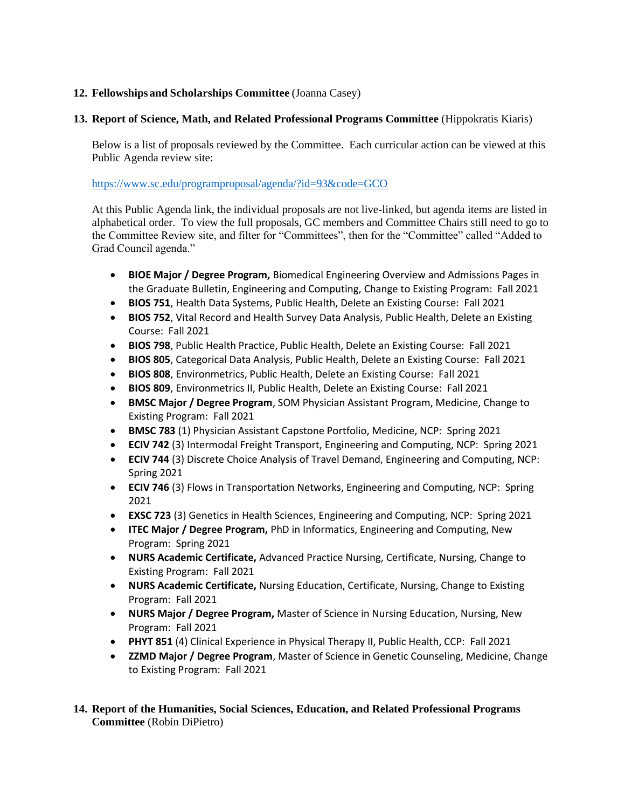# **12. Fellowships and Scholarships Committee** (Joanna Casey)

# **13. Report of Science, Math, and Related Professional Programs Committee** (Hippokratis Kiaris)

Below is a list of proposals reviewed by the Committee. Each curricular action can be viewed at this Public Agenda review site:

<https://www.sc.edu/programproposal/agenda/?id=93&code=GCO>

At this Public Agenda link, the individual proposals are not live-linked, but agenda items are listed in alphabetical order. To view the full proposals, GC members and Committee Chairs still need to go to the Committee Review site, and filter for "Committees", then for the "Committee" called "Added to Grad Council agenda."

- **BIOE Major / Degree Program,** Biomedical Engineering Overview and Admissions Pages in the Graduate Bulletin, Engineering and Computing, Change to Existing Program: Fall 2021
- **BIOS 751**, Health Data Systems, Public Health, Delete an Existing Course: Fall 2021
- **BIOS 752**, Vital Record and Health Survey Data Analysis, Public Health, Delete an Existing Course: Fall 2021
- **BIOS 798**, Public Health Practice, Public Health, Delete an Existing Course: Fall 2021
- **BIOS 805**, Categorical Data Analysis, Public Health, Delete an Existing Course: Fall 2021
- **BIOS 808**, Environmetrics, Public Health, Delete an Existing Course: Fall 2021
- **BIOS 809**, Environmetrics II, Public Health, Delete an Existing Course: Fall 2021
- **BMSC Major / Degree Program**, SOM Physician Assistant Program, Medicine, Change to Existing Program: Fall 2021
- **BMSC 783** (1) Physician Assistant Capstone Portfolio, Medicine, NCP: Spring 2021
- **ECIV 742** (3) Intermodal Freight Transport, Engineering and Computing, NCP: Spring 2021
- **ECIV 744** (3) Discrete Choice Analysis of Travel Demand, Engineering and Computing, NCP: Spring 2021
- **ECIV 746** (3) Flows in Transportation Networks, Engineering and Computing, NCP: Spring 2021
- **EXSC 723** (3) Genetics in Health Sciences, Engineering and Computing, NCP: Spring 2021
- **ITEC Major / Degree Program,** PhD in Informatics, Engineering and Computing, New Program: Spring 2021
- **NURS Academic Certificate,** Advanced Practice Nursing, Certificate, Nursing, Change to Existing Program: Fall 2021
- **NURS Academic Certificate,** Nursing Education, Certificate, Nursing, Change to Existing Program: Fall 2021
- **NURS Major / Degree Program,** Master of Science in Nursing Education, Nursing, New Program: Fall 2021
- **PHYT 851** (4) Clinical Experience in Physical Therapy II, Public Health, CCP: Fall 2021
- **ZZMD Major / Degree Program**, Master of Science in Genetic Counseling, Medicine, Change to Existing Program: Fall 2021
- **14. Report of the Humanities, Social Sciences, Education, and Related Professional Programs Committee** (Robin DiPietro)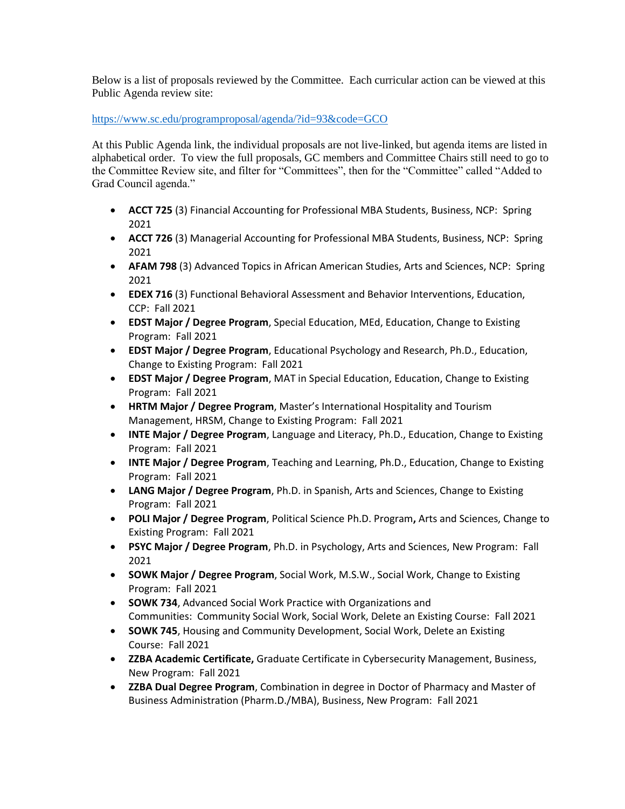Below is a list of proposals reviewed by the Committee. Each curricular action can be viewed at this Public Agenda review site:

## <https://www.sc.edu/programproposal/agenda/?id=93&code=GCO>

At this Public Agenda link, the individual proposals are not live-linked, but agenda items are listed in alphabetical order. To view the full proposals, GC members and Committee Chairs still need to go to the Committee Review site, and filter for "Committees", then for the "Committee" called "Added to Grad Council agenda."

- **ACCT 725** (3) Financial Accounting for Professional MBA Students, Business, NCP: Spring 2021
- **ACCT 726** (3) Managerial Accounting for Professional MBA Students, Business, NCP: Spring 2021
- **AFAM 798** (3) Advanced Topics in African American Studies, Arts and Sciences, NCP: Spring 2021
- **EDEX 716** (3) Functional Behavioral Assessment and Behavior Interventions, Education, CCP: Fall 2021
- **EDST Major / Degree Program**, Special Education, MEd, Education, Change to Existing Program: Fall 2021
- **EDST Major / Degree Program**, Educational Psychology and Research, Ph.D., Education, Change to Existing Program: Fall 2021
- **EDST Major / Degree Program**, MAT in Special Education, Education, Change to Existing Program: Fall 2021
- **HRTM Major / Degree Program**, Master's International Hospitality and Tourism Management, HRSM, Change to Existing Program: Fall 2021
- **INTE Major / Degree Program**, Language and Literacy, Ph.D., Education, Change to Existing Program: Fall 2021
- **INTE Major / Degree Program**, Teaching and Learning, Ph.D., Education, Change to Existing Program: Fall 2021
- **LANG Major / Degree Program**, Ph.D. in Spanish, Arts and Sciences, Change to Existing Program: Fall 2021
- **POLI Major / Degree Program**, Political Science Ph.D. Program**,** Arts and Sciences, Change to Existing Program: Fall 2021
- **PSYC Major / Degree Program**, Ph.D. in Psychology, Arts and Sciences, New Program: Fall 2021
- **SOWK Major / Degree Program**, Social Work, M.S.W., Social Work, Change to Existing Program: Fall 2021
- **SOWK 734**, Advanced Social Work Practice with Organizations and Communities: Community Social Work, Social Work, Delete an Existing Course: Fall 2021
- **SOWK 745**, Housing and Community Development, Social Work, Delete an Existing Course: Fall 2021
- **ZZBA Academic Certificate,** Graduate Certificate in Cybersecurity Management, Business, New Program: Fall 2021
- **ZZBA Dual Degree Program**, Combination in degree in Doctor of Pharmacy and Master of Business Administration (Pharm.D./MBA), Business, New Program: Fall 2021